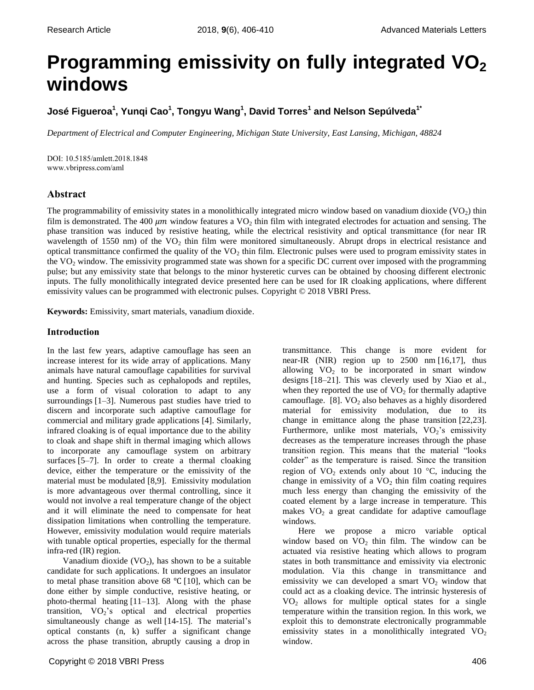# **Programming emissivity on fully integrated VO<sup>2</sup> windows**

**José Figueroa<sup>1</sup> , Yunqi Cao<sup>1</sup> , Tongyu Wang<sup>1</sup> , David Torres<sup>1</sup> and Nelson Sepúlveda1\***

*Department of Electrical and Computer Engineering, Michigan State University, East Lansing, Michigan, 48824*

DOI: 10.5185/amlett.2018.1848 www.vbripress.com/aml

# **Abstract**

The programmability of emissivity states in a monolithically integrated micro window based on vanadium dioxide  $(VO<sub>2</sub>)$  thin film is demonstrated. The 400  $\mu$ m window features a VO<sub>2</sub> thin film with integrated electrodes for actuation and sensing. The phase transition was induced by resistive heating, while the electrical resistivity and optical transmittance (for near IR wavelength of 1550 nm) of the  $VO<sub>2</sub>$  thin film were monitored simultaneously. Abrupt drops in electrical resistance and optical transmittance confirmed the quality of the  $VO<sub>2</sub>$  thin film. Electronic pulses were used to program emissivity states in the VO<sup>2</sup> window. The emissivity programmed state was shown for a specific DC current over imposed with the programming pulse; but any emissivity state that belongs to the minor hysteretic curves can be obtained by choosing different electronic inputs. The fully monolithically integrated device presented here can be used for IR cloaking applications, where different emissivity values can be programmed with electronic pulses. Copyright © 2018 VBRI Press.

**Keywords:** Emissivity, smart materials, vanadium dioxide.

# **Introduction**

In the last few years, adaptive camouflage has seen an increase interest for its wide array of applications. Many animals have natural camouflage capabilities for survival and hunting. Species such as cephalopods and reptiles, use a form of visual coloration to adapt to any surroundings [1–3]. Numerous past studies have tried to discern and incorporate such adaptive camouflage for commercial and military grade applications [4]. Similarly, infrared cloaking is of equal importance due to the ability to cloak and shape shift in thermal imaging which allows to incorporate any camouflage system on arbitrary surfaces [5–7]. In order to create a thermal cloaking device, either the temperature or the emissivity of the material must be modulated [8,9]. Emissivity modulation is more advantageous over thermal controlling, since it would not involve a real temperature change of the object and it will eliminate the need to compensate for heat dissipation limitations when controlling the temperature. However, emissivity modulation would require materials with tunable optical properties, especially for the thermal infra-red (IR) region.

Vanadium dioxide  $(VO_2)$ , has shown to be a suitable candidate for such applications. It undergoes an insulator to metal phase transition above 68  $\degree$ C [10], which can be done either by simple conductive, resistive heating, or photo-thermal heating [11–13]. Along with the phase transition,  $VO_2$ 's optical and electrical properties simultaneously change as well [14-15]. The material's optical constants (n, k) suffer a significant change across the phase transition, abruptly causing a drop in

Copyright © 2018 VBRI Press 406

transmittance. This change is more evident for near-IR (NIR) region up to  $2500 \text{ nm}$  [16,17], thus allowing  $VO<sub>2</sub>$  to be incorporated in smart window designs [18–21]. This was cleverly used by Xiao et al., when they reported the use of  $VO<sub>2</sub>$  for thermally adaptive camouflage.  $[8]$ . VO<sub>2</sub> also behaves as a highly disordered material for emissivity modulation, due to its change in emittance along the phase transition [22,23]. Furthermore, unlike most materials,  $VO<sub>2</sub>$ 's emissivity decreases as the temperature increases through the phase transition region. This means that the material "looks colder" as the temperature is raised. Since the transition region of  $VO_2$  extends only about 10 °C, inducing the change in emissivity of a  $VO<sub>2</sub>$  thin film coating requires much less energy than changing the emissivity of the coated element by a large increase in temperature. This makes  $VO<sub>2</sub>$  a great candidate for adaptive camouflage windows.

Here we propose a micro variable optical window based on  $VO<sub>2</sub>$  thin film. The window can be actuated via resistive heating which allows to program states in both transmittance and emissivity via electronic modulation. Via this change in transmittance and emissivity we can developed a smart  $VO<sub>2</sub>$  window that could act as a cloaking device. The intrinsic hysteresis of  $VO<sub>2</sub>$  allows for multiple optical states for a single temperature within the transition region. In this work, we exploit this to demonstrate electronically programmable emissivity states in a monolithically integrated  $VO<sub>2</sub>$ window.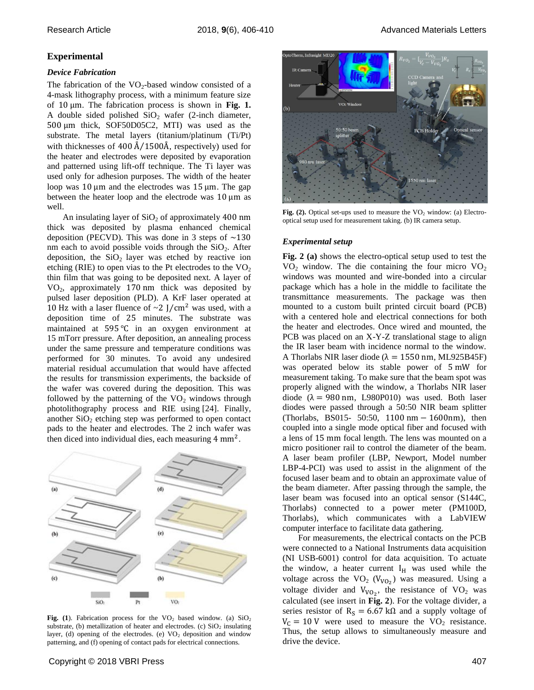# **Experimental**

## *Device Fabrication*

The fabrication of the  $VO_2$ -based window consisted of a 4-mask lithography process, with a minimum feature size of  $10 \mu$ m. The fabrication process is shown in Fig. 1. A double sided polished  $SiO<sub>2</sub>$  wafer (2-inch diameter,  $500 \mu m$  thick, SOF50D05C2, MTI) was used as the substrate. The metal layers (titanium/platinum (Ti/Pt) with thicknesses of 400  $\AA/1500\AA$ , respectively) used for the heater and electrodes were deposited by evaporation and patterned using lift-off technique. The Ti layer was used only for adhesion purposes. The width of the heater loop was 10  $\mu$ m and the electrodes was 15  $\mu$ m. The gap between the heater loop and the electrode was  $10 \mu m$  as well.

An insulating layer of  $SiO<sub>2</sub>$  of approximately 400 nm thick was deposited by plasma enhanced chemical deposition (PECVD). This was done in 3 steps of  $\sim$ 130 nm each to avoid possible voids through the  $SiO<sub>2</sub>$ . After deposition, the  $SiO<sub>2</sub>$  layer was etched by reactive ion etching (RIE) to open vias to the Pt electrodes to the  $VO<sub>2</sub>$ thin film that was going to be deposited next. A layer of  $VO<sub>2</sub>$ , approximately 170 nm thick was deposited by pulsed laser deposition (PLD). A KrF laser operated at 10 Hz with a laser fluence of  $\sim$  2 J/cm<sup>2</sup> was used, with a deposition time of 25 minutes. The substrate was maintained at  $595^{\circ}$ C in an oxygen environment at 15 mTorr pressure. After deposition, an annealing process under the same pressure and temperature conditions was performed for 30 minutes. To avoid any undesired material residual accumulation that would have affected the results for transmission experiments, the backside of the wafer was covered during the deposition. This was followed by the patterning of the  $VO<sub>2</sub>$  windows through photolithography process and RIE using [24]. Finally, another  $SiO<sub>2</sub>$  etching step was performed to open contact pads to the heater and electrodes. The 2 inch wafer was then diced into individual dies, each measuring  $4 \text{ mm}^2$ .



Fig. (1). Fabrication process for the  $VO<sub>2</sub>$  based window. (a)  $SiO<sub>2</sub>$ substrate, (b) metallization of heater and electrodes. (c)  $SiO<sub>2</sub>$  insulating layer, (d) opening of the electrodes. (e)  $VO<sub>2</sub>$  deposition and window patterning, and (f) opening of contact pads for electrical connections.



Fig.  $(2)$ . Optical set-ups used to measure the  $VO<sub>2</sub>$  window: (a) Electrooptical setup used for measurement taking. (b) IR camera setup.

## *Experimental setup*

**Fig. 2 (a)** shows the electro-optical setup used to test the  $VO<sub>2</sub>$  window. The die containing the four micro  $VO<sub>2</sub>$ windows was mounted and wire-bonded into a circular package which has a hole in the middle to facilitate the transmittance measurements. The package was then mounted to a custom built printed circuit board (PCB) with a centered hole and electrical connections for both the heater and electrodes. Once wired and mounted, the PCB was placed on an X-Y-Z translational stage to align the IR laser beam with incidence normal to the window. A Thorlabs NIR laser diode ( $\lambda = 1550$  nm, ML925B45F) was operated below its stable power of  $5 \text{ mW}$  for measurement taking. To make sure that the beam spot was properly aligned with the window, a Thorlabs NIR laser diode  $(\lambda = 980 \text{ nm}, \text{L}980P010)$  was used. Both laser diodes were passed through a 50:50 NIR beam splitter (Thorlabs, BS015- 50:50,  $1100 \text{ nm} - 1600 \text{ nm}$ ), then coupled into a single mode optical fiber and focused with a lens of 15 mm focal length. The lens was mounted on a micro positioner rail to control the diameter of the beam. A laser beam profiler (LBP, Newport, Model number LBP-4-PCI) was used to assist in the alignment of the focused laser beam and to obtain an approximate value of the beam diameter. After passing through the sample, the laser beam was focused into an optical sensor (S144C, Thorlabs) connected to a power meter (PM100D, Thorlabs), which communicates with a LabVIEW computer interface to facilitate data gathering.

For measurements, the electrical contacts on the PCB were connected to a National Instruments data acquisition (NI USB-6001) control for data acquisition. To actuate the window, a heater current  $I_H$  was used while the voltage across the  $VO_2$  ( $V_{VO_2}$ ) was measured. Using a voltage divider and  $V_{V_0}$ , the resistance of  $VO_2$  was calculated (see insert in **Fig. 2**). For the voltage divider, a series resistor of  $R_s = 6.67 \text{ k}\Omega$  and a supply voltage of  $V_C = 10$  V were used to measure the  $VO<sub>2</sub>$  resistance. Thus, the setup allows to simultaneously measure and drive the device.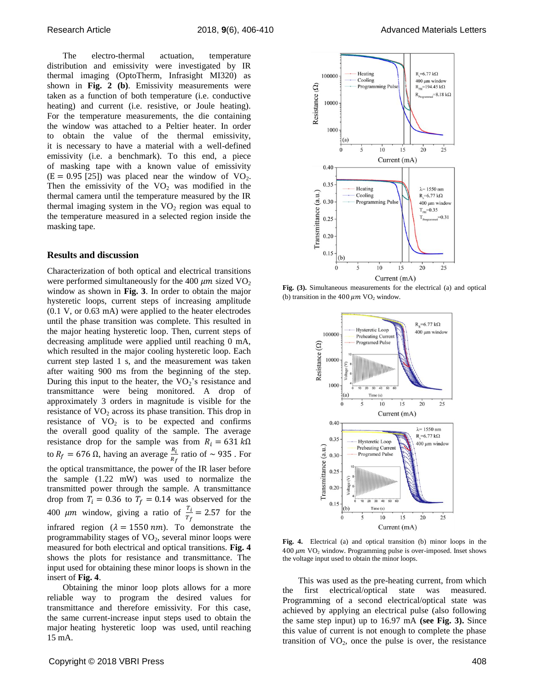The electro-thermal actuation, temperature distribution and emissivity were investigated by IR thermal imaging (OptoTherm, Infrasight MI320) as shown in **Fig. 2 (b)**. Emissivity measurements were taken as a function of both temperature (i.e. conductive heating) and current (i.e. resistive, or Joule heating). For the temperature measurements, the die containing the window was attached to a Peltier heater. In order to obtain the value of the thermal emissivity, it is necessary to have a material with a well-defined emissivity (i.e. a benchmark). To this end, a piece of masking tape with a known value of emissivity  $(E = 0.95$  [25]) was placed near the window of VO<sub>2</sub>. Then the emissivity of the  $VO<sub>2</sub>$  was modified in the thermal camera until the temperature measured by the IR thermal imaging system in the  $VO<sub>2</sub>$  region was equal to the temperature measured in a selected region inside the masking tape.

### **Results and discussion**

Characterization of both optical and electrical transitions were performed simultaneously for the 400  $\mu$ m sized VO<sub>2</sub> window as shown in **Fig. 3**. In order to obtain the major hysteretic loops, current steps of increasing amplitude (0.1 V, or 0.63 mA) were applied to the heater electrodes until the phase transition was complete. This resulted in the major heating hysteretic loop. Then, current steps of decreasing amplitude were applied until reaching 0 mA, which resulted in the major cooling hysteretic loop. Each current step lasted 1 s, and the measurement was taken after waiting 900 ms from the beginning of the step. During this input to the heater, the  $VO<sub>2</sub>$ 's resistance and transmittance were being monitored. A drop of approximately 3 orders in magnitude is visible for the resistance of  $VO<sub>2</sub>$  across its phase transition. This drop in resistance of  $VO<sub>2</sub>$  is to be expected and confirms the overall good quality of the sample. The average resistance drop for the sample was from  $R_i = 631 k\Omega$ to  $R_f = 676 \Omega$ , having an average  $\frac{R_i}{R_f}$  ratio of  $\sim 935$ . For the optical transmittance, the power of the IR laser before the sample (1.22 mW) was used to normalize the transmitted power through the sample. A transmittance drop from  $T_i = 0.36$  to  $T_f = 0.14$  was observed for the 400  $\mu$ m window, giving a ratio of  $\frac{r_i}{T_f} = 2.57$  for the infrared region ( $\lambda = 1550 \text{ nm}$ ). To demonstrate the programmability stages of  $VO<sub>2</sub>$ , several minor loops were measured for both electrical and optical transitions. **Fig. 4** shows the plots for resistance and transmittance. The input used for obtaining these minor loops is shown in the insert of **Fig. 4**.

Obtaining the minor loop plots allows for a more reliable way to program the desired values for transmittance and therefore emissivity. For this case, the same current-increase input steps used to obtain the major heating hysteretic loop was used, until reaching 15 mA.



**Fig. (3).** Simultaneous measurements for the electrical (a) and optical (b) transition in the 400  $\mu$ m VO<sub>2</sub> window.



**Fig. 4.** Electrical (a) and optical transition (b) minor loops in the  $400 \ \mu m$  VO<sub>2</sub> window. Programming pulse is over-imposed. Inset shows the voltage input used to obtain the minor loops.

This was used as the pre-heating current, from which the first electrical/optical state was measured. Programming of a second electrical/optical state was achieved by applying an electrical pulse (also following the same step input) up to 16.97 mA **(see Fig. 3).** Since this value of current is not enough to complete the phase transition of  $VO<sub>2</sub>$ , once the pulse is over, the resistance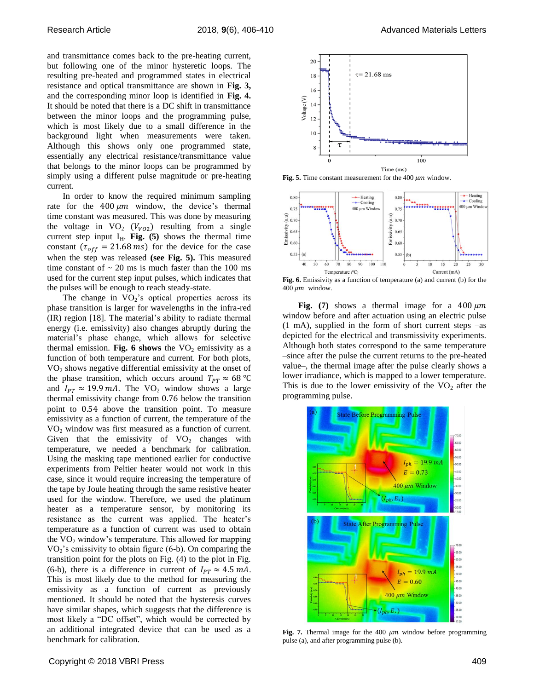and transmittance comes back to the pre-heating current, but following one of the minor hysteretic loops. The resulting pre-heated and programmed states in electrical resistance and optical transmittance are shown in **Fig. 3,** and the corresponding minor loop is identified in **Fig. 4.** It should be noted that there is a DC shift in transmittance between the minor loops and the programming pulse, which is most likely due to a small difference in the background light when measurements were taken. Although this shows only one programmed state, essentially any electrical resistance/transmittance value that belongs to the minor loops can be programmed by simply using a different pulse magnitude or pre-heating current.

In order to know the required minimum sampling rate for the  $400 \mu m$  window, the device's thermal time constant was measured. This was done by measuring the voltage in  $VO_2$  ( $V_{VO2}$ ) resulting from a single current step input  $I_H$ . **Fig.** (5) shows the thermal time constant  $(\tau_{off} = 21.68 \text{ ms})$  for the device for the case when the step was released **(see Fig. 5).** This measured time constant of  $\sim$  20 ms is much faster than the 100 ms used for the current step input pulses, which indicates that the pulses will be enough to reach steady-state.

The change in  $VO<sub>2</sub>$ 's optical properties across its phase transition is larger for wavelengths in the infra-red (IR) region [18]. The material's ability to radiate thermal energy (i.e. emissivity) also changes abruptly during the material's phase change, which allows for selective thermal emission. **Fig. 6 shows** the  $VO<sub>2</sub>$  emissivity as a function of both temperature and current. For both plots, VO<sup>2</sup> shows negative differential emissivity at the onset of the phase transition, which occurs around  $T_{PT} \approx 68 \text{ °C}$ and  $I_{PT} \approx 19.9 \text{ mA}$ . The VO<sub>2</sub> window shows a large thermal emissivity change from 0.76 below the transition point to 0.54 above the transition point. To measure emissivity as a function of current, the temperature of the VO<sup>2</sup> window was first measured as a function of current. Given that the emissivity of  $VO<sub>2</sub>$  changes with temperature, we needed a benchmark for calibration. Using the masking tape mentioned earlier for conductive experiments from Peltier heater would not work in this case, since it would require increasing the temperature of the tape by Joule heating through the same resistive heater used for the window. Therefore, we used the platinum heater as a temperature sensor, by monitoring its resistance as the current was applied. The heater's temperature as a function of current was used to obtain the  $VO<sub>2</sub>$  window's temperature. This allowed for mapping  $VO<sub>2</sub>$ 's emissivity to obtain figure (6-b). On comparing the transition point for the plots on Fig. (4) to the plot in Fig. (6-b), there is a difference in current of  $I_{PT} \approx 4.5$  mA. This is most likely due to the method for measuring the emissivity as a function of current as previously mentioned. It should be noted that the hysteresis curves have similar shapes, which suggests that the difference is most likely a "DC offset", which would be corrected by an additional integrated device that can be used as a benchmark for calibration.



**Fig. 5.** Time constant measurement for the 400  $\mu$ m window.



**Fig. 6.** Emissivity as a function of temperature (a) and current (b) for the 400  $\mu$ m window.

**Fig.** (7) shows a thermal image for a  $400 \mu m$ window before and after actuation using an electric pulse (1 mA), supplied in the form of short current steps –as depicted for the electrical and transmissivity experiments. Although both states correspond to the same temperature –since after the pulse the current returns to the pre-heated value–, the thermal image after the pulse clearly shows a lower irradiance, which is mapped to a lower temperature. This is due to the lower emissivity of the  $VO<sub>2</sub>$  after the programming pulse.



Fig. 7. Thermal image for the 400  $\mu$ m window before programming pulse (a), and after programming pulse (b).